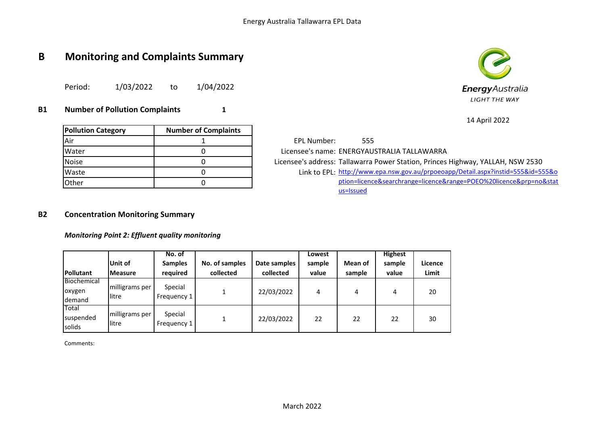# **B Monitoring and Complaints Summary**

Period: 1/03/2022 to 1/04/2022

## **B1 Number of Pollution Complaints 1**

| <b>Energy</b> Australia |
|-------------------------|
| <b>LIGHT THE WAY</b>    |

14 April 2022

| <b>Pollution Category</b> | <b>Number of Complaints</b> |
|---------------------------|-----------------------------|
| Air                       |                             |
| Water                     |                             |
| <b>Noise</b>              |                             |
| Waste                     |                             |
| Other                     |                             |

EPL Number: 555 Licensee's name: ENERGYAUSTRALIA TALLAWARRA Licensee's address: Tallawarra Power Station, Princes Highway, YALLAH, NSW 2530 Waste 2555&id=555&o 0 0 0 0 0 link to EPL: [http://www.](http://www.epa.nsw.gov.au/prpoeoapp/Detail.aspx?instid=555&id=555&option=licence&searchrange=licence&range=POEO%20licence&prp=no&status=Issued)epa.nsw.gov.au/prpoeoapp/Detail.aspx?instid=555&id=555&o [ption=licence](http://www.epa.nsw.gov.au/prpoeoapp/Detail.aspx?instid=555&id=555&option=licence&searchrange=licence&range=POEO%20licence&prp=no&status=Issued)&searchrange=licence&range=POEO%20licence&prp=no&stat [us=Issued](http://www.epa.nsw.gov.au/prpoeoapp/Detail.aspx?instid=555&id=555&option=licence&searchrange=licence&range=POEO%20licence&prp=no&status=Issued)

#### **B2 Concentration Monitoring Summary**

*Monitoring Point 2: Effluent quality monitoring*

| <b>Pollutant</b>                | Unit of<br><b>Measure</b> | No. of<br><b>Samples</b><br>required | No. of samples<br>collected | Date samples<br>collected | Lowest<br>sample<br>value | Mean of<br>sample | <b>Highest</b><br>sample<br>value | Licence<br>Limit |
|---------------------------------|---------------------------|--------------------------------------|-----------------------------|---------------------------|---------------------------|-------------------|-----------------------------------|------------------|
| Biochemical<br>oxygen<br>demand | milligrams per<br>llitre  | Special<br>Frequency 1               |                             | 22/03/2022                | 4                         | 4                 | 4                                 | 20               |
| Total<br>suspended<br>solids    | milligrams per<br>llitre  | Special<br>Frequency 1               |                             | 22/03/2022                | 22                        | 22                | 22                                | 30               |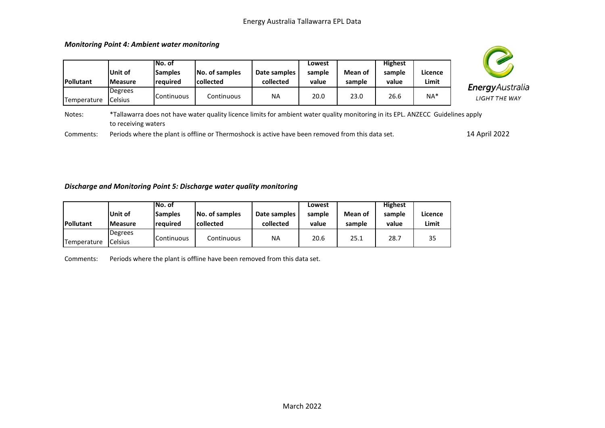| of samples<br>ected | Date samples<br>collected | Lowest<br>sample<br>value | Mean of<br>sample | <b>Highest</b><br>sample<br>value | Licence<br>Limit | EnergyAu         |
|---------------------|---------------------------|---------------------------|-------------------|-----------------------------------|------------------|------------------|
| Continuous          | NA                        | 20.0                      | 23.0              | 26.6                              | $NA*$            | <b>LIGHT THE</b> |



Г

|             |                 | lNo. of           |                  |              | Lowest   |         | <b>Highest</b>    |         |
|-------------|-----------------|-------------------|------------------|--------------|----------|---------|-------------------|---------|
|             | lUnit of        | Samples           | No. of samples   | Date samples | sample   | Mean of | sample            | Licence |
| Pollutant   | <b>IMeasure</b> | Ireauired         | <b>collected</b> | collected    | value    | sample  | value             | Limit   |
|             | Degrees         |                   |                  |              |          |         |                   |         |
| Temperature | Celsius         | <b>Continuous</b> | Continuous       | <b>NA</b>    | 20.0     | 23.0    | 26.6              | NA*     |
| $\cdots$    | $+ - -$         | . .               | $\cdots$         | $\cdots$     | $\cdots$ |         | $\cdots$ $\cdots$ | .<br>   |



Notes: \*Tallawarra does not have water quality licence limits for ambient water quality monitoring in its EPL. ANZECC Guidelines apply to receiving waters

Comments: Periods where the plant is offline or Thermoshock is active have been removed from this data set.

14 April 2022

#### *Discharge and Monitoring Point 5: Discharge water quality monitoring*

|                  |                 | ıNo. of           |                  |              | Lowest |         | <b>Highest</b> |         |
|------------------|-----------------|-------------------|------------------|--------------|--------|---------|----------------|---------|
|                  | lUnit of        | <b>Samples</b>    | No. of samples   | Date samples | sample | Mean of | sample         | Licence |
| <b>Pollutant</b> | <b>IMeasure</b> | reauired          | <b>collected</b> | collected    | value  | sample  | value          | Limit   |
|                  | Degrees         |                   |                  |              |        |         |                |         |
| Temperature      | <b>Celsius</b>  | <b>Continuous</b> | Continuous       | NA           | 20.6   | 25.1    | 28.7           | 35      |

Comments: Periods where the plant is offline have been removed from this data set.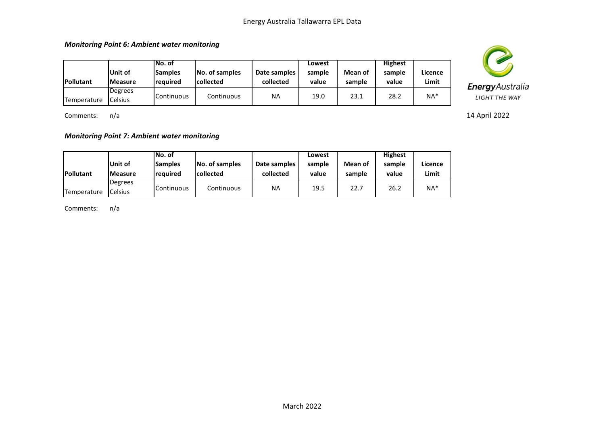*Monitoring Point 6: Ambient water monitoring*

| <b>Pollutant</b> | Unit of<br><b>IMeasure</b> | INo. of<br><b>Samples</b><br>reauired | No. of samples<br><b>collected</b> | Date samples<br>collected | Lowest<br>sample<br>value | Mean of<br>sample | <b>Highest</b><br>sample<br>value | Licence<br>Limit |
|------------------|----------------------------|---------------------------------------|------------------------------------|---------------------------|---------------------------|-------------------|-----------------------------------|------------------|
| Temperature      | Degrees<br>Celsius         | <b>I</b> Continuous                   | Continuous                         | NA                        | 19.0                      | 23.1              | 28.2                              | $NA*$            |

Comments: n/a

*Monitoring Point 7: Ambient water monitoring*

|             |                 | INo. of             |                  |              | Lowest |         | <b>Highest</b> |         |
|-------------|-----------------|---------------------|------------------|--------------|--------|---------|----------------|---------|
|             | Unit of         | <b>Samples</b>      | No. of samples   | Date samples | sample | Mean of | sample         | Licence |
| Pollutant   | <b>IMeasure</b> | <b>reauired</b>     | <b>collected</b> | collected    | value  | sample  | value          | Limit   |
|             | Degrees         |                     |                  |              |        |         |                |         |
| Temperature | Celsius         | <b>I</b> Continuous | Continuous       | <b>NA</b>    | 19.5   | 22.7    | 26.2           | $NA*$   |

Comments: n/a



14 April 2022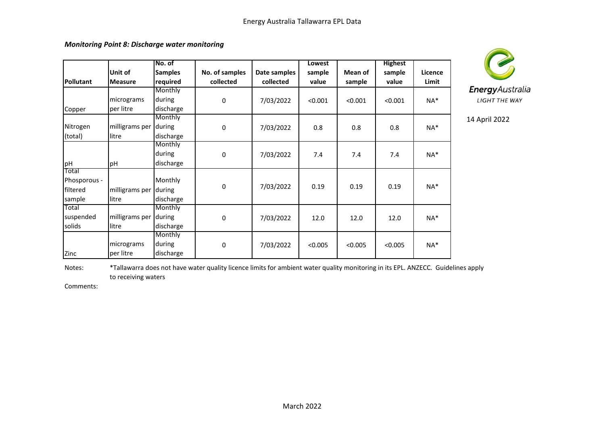*Monitoring Point 8: Discharge water monitoring*

|                  |                | No. of         |                |              | Lowest  |         | <b>Highest</b> |         |
|------------------|----------------|----------------|----------------|--------------|---------|---------|----------------|---------|
|                  | Unit of        | <b>Samples</b> | No. of samples | Date samples | sample  | Mean of | sample         | Licence |
| <b>Pollutant</b> | <b>Measure</b> | required       | collected      | collected    | value   | sample  | value          | Limit   |
|                  |                | Monthly        |                |              |         |         |                |         |
|                  | micrograms     | during         | 0              | 7/03/2022    | < 0.001 | < 0.001 | < 0.001        | $NA^*$  |
| Copper           | per litre      | discharge      |                |              |         |         |                |         |
|                  |                | Monthly        |                |              |         |         |                |         |
| Nitrogen         | milligrams per | during         | 0              | 7/03/2022    | 0.8     | 0.8     | 0.8            | $NA*$   |
| (total)          | litre          | discharge      |                |              |         |         |                |         |
|                  |                | Monthly        |                |              |         |         |                |         |
|                  |                | during         | 0              | 7/03/2022    | 7.4     | 7.4     | 7.4            | NA*     |
| pH               | pH             | discharge      |                |              |         |         |                |         |
| Total            |                |                |                |              |         |         |                |         |
| Phosporous -     |                | Monthly        | $\mathbf 0$    |              | 0.19    | 0.19    | 0.19           | $NA*$   |
| filtered         | milligrams per | during         |                | 7/03/2022    |         |         |                |         |
| sample           | litre          | discharge      |                |              |         |         |                |         |
| Total            |                | Monthly        |                |              |         |         |                |         |
| suspended        | milligrams per | during         | 0              | 7/03/2022    | 12.0    | 12.0    | 12.0           | $NA^*$  |
| solids           | llitre         | discharge      |                |              |         |         |                |         |
|                  |                | Monthly        |                |              |         |         |                |         |
|                  | micrograms     | during         | 0              | 7/03/2022    | < 0.005 | < 0.005 | < 0.005        | $NA^*$  |
| Zinc             | per litre      | discharge      |                |              |         |         |                |         |



14 April 2022

Notes: \*Tallawarra does not have water quality licence limits for ambient water quality monitoring in its EPL. ANZECC. Guidelines apply to receiving waters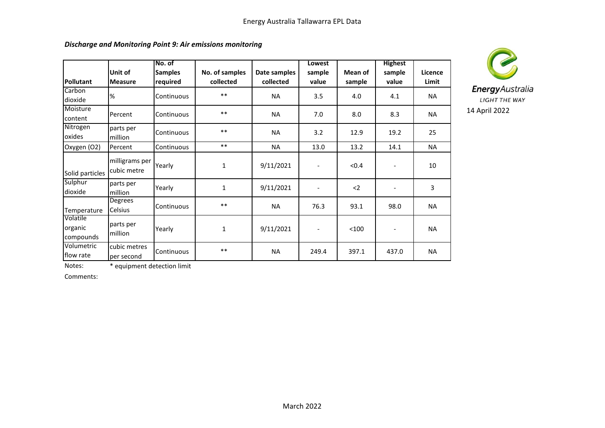|                                  |                               | No. of                     |                             |                           | Lowest                   |                   | <b>Highest</b>           |                  |
|----------------------------------|-------------------------------|----------------------------|-----------------------------|---------------------------|--------------------------|-------------------|--------------------------|------------------|
| Pollutant                        | Unit of<br><b>Measure</b>     | <b>Samples</b><br>required | No. of samples<br>collected | Date samples<br>collected | sample<br>value          | Mean of<br>sample | sample<br>value          | Licence<br>Limit |
| Carbon<br>dioxide                | %                             | Continuous                 | $***$                       | <b>NA</b>                 | 3.5                      | 4.0               | 4.1                      | <b>NA</b>        |
| Moisture<br>content              | Percent                       | Continuous                 | $***$                       | <b>NA</b>                 | 7.0                      | 8.0               | 8.3                      | <b>NA</b>        |
| Nitrogen<br>oxides               | parts per<br>million          | Continuous                 | $***$                       | <b>NA</b>                 | 3.2                      | 12.9              | 19.2                     | 25               |
| Oxygen (O2)                      | Percent                       | Continuous                 | $***$                       | <b>NA</b>                 | 13.0                     | 13.2              | 14.1                     | <b>NA</b>        |
| Solid particles                  | milligrams per<br>cubic metre | Yearly                     | 1                           | 9/11/2021                 | $\overline{\phantom{a}}$ | < 0.4             | $\overline{\phantom{0}}$ | 10               |
| Sulphur<br>dioxide               | parts per<br>million          | Yearly                     | 1                           | 9/11/2021                 | $\overline{\phantom{a}}$ | $2$               |                          | 3                |
| Temperature                      | Degrees<br>Celsius            | Continuous                 | $***$                       | <b>NA</b>                 | 76.3                     | 93.1              | 98.0                     | <b>NA</b>        |
| Volatile<br>organic<br>compounds | parts per<br>million          | Yearly                     | $\mathbf{1}$                | 9/11/2021                 |                          | < 100             |                          | <b>NA</b>        |
| Volumetric<br>flow rate          | cubic metres<br>per second    | Continuous                 | $***$                       | <b>NA</b>                 | 249.4                    | 397.1             | 437.0                    | <b>NA</b>        |



Notes: \* equipment detection limit